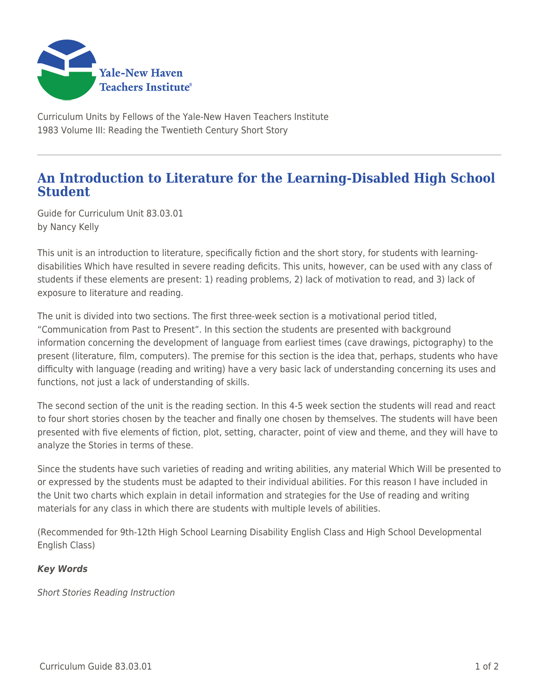

Curriculum Units by Fellows of the Yale-New Haven Teachers Institute 1983 Volume III: Reading the Twentieth Century Short Story

## **An Introduction to Literature for the Learning-Disabled High School Student**

Guide for Curriculum Unit 83.03.01 by Nancy Kelly

This unit is an introduction to literature, specifically fiction and the short story, for students with learningdisabilities Which have resulted in severe reading deficits. This units, however, can be used with any class of students if these elements are present: 1) reading problems, 2) lack of motivation to read, and 3) lack of exposure to literature and reading.

The unit is divided into two sections. The first three-week section is a motivational period titled, "Communication from Past to Present". In this section the students are presented with background information concerning the development of language from earliest times (cave drawings, pictography) to the present (literature, film, computers). The premise for this section is the idea that, perhaps, students who have difficulty with language (reading and writing) have a very basic lack of understanding concerning its uses and functions, not just a lack of understanding of skills.

The second section of the unit is the reading section. In this 4-5 week section the students will read and react to four short stories chosen by the teacher and finally one chosen by themselves. The students will have been presented with five elements of fiction, plot, setting, character, point of view and theme, and they will have to analyze the Stories in terms of these.

Since the students have such varieties of reading and writing abilities, any material Which Will be presented to or expressed by the students must be adapted to their individual abilities. For this reason I have included in the Unit two charts which explain in detail information and strategies for the Use of reading and writing materials for any class in which there are students with multiple levels of abilities.

(Recommended for 9th-12th High School Learning Disability English Class and High School Developmental English Class)

## *Key Words*

Short Stories Reading Instruction